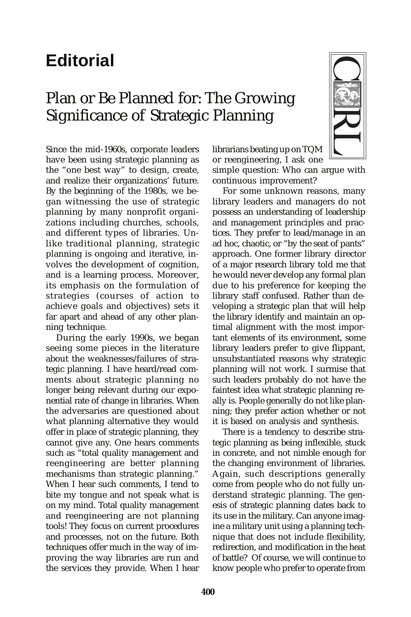## **Editorial**

## Plan or Be Planned for: The Growing Significance of Strategic Planning

Since the mid-1960s, corporate leaders have been using strategic planning as the "one best way" to design, create, and realize their organizations' future. By the beginning of the 1980s, we began witnessing the use of strategic planning by many nonprofit organizations including churches, schools, and different types of libraries. Unlike traditional planning, strategic planning is ongoing and iterative, involves the development of cognition, and is a learning process. Moreover, its emphasis on the formulation of strategies (courses of action to achieve goals and objectives) sets it far apart and ahead of any other planning technique.

During the early 1990s, we began seeing some pieces in the literature about the weaknesses/failures of strategic planning. I have heard/read comments about strategic planning no longer being relevant during our exponential rate of change in libraries. When the adversaries are questioned about what planning alternative they would offer in place of strategic planning, they cannot give any. One hears comments such as "total quality management and reengineering are better planning mechanisms than strategic planning." When I hear such comments, I tend to bite my tongue and not speak what is on my mind. Total quality management and reengineering are not planning tools! They focus on current procedures and processes, not on the future. Both techniques offer much in the way of improving the way libraries are run and the services they provide. When I hear



librarians beating up on TQM

or reengineering, I ask one simple question: Who can argue with continuous improvement?

For some unknown reasons, many library leaders and managers do not possess an understanding of leadership and management principles and practices. They prefer to lead/manage in an ad hoc, chaotic, or "by the seat of pants" approach. One former library director of a major research library told me that he would never develop any formal plan due to his preference for keeping the library staff confused. Rather than developing a strategic plan that will help the library identify and maintain an optimal alignment with the most important elements of its environment, some library leaders prefer to give flippant, unsubstantiated reasons why strategic planning will not work. I surmise that such leaders probably do not have the faintest idea what strategic planning really is. People generally do not like planning; they prefer action whether or not it is based on analysis and synthesis.

There is a tendency to describe strategic planning as being inflexible, stuck in concrete, and not nimble enough for the changing environment of libraries. Again, such descriptions generally come from people who do not fully understand strategic planning. The genesis of strategic planning dates back to its use in the military. Can anyone imagine a military unit using a planning technique that does not include flexibility, redirection, and modification in the heat of battle? Of course, we will continue to know people who prefer to operate from